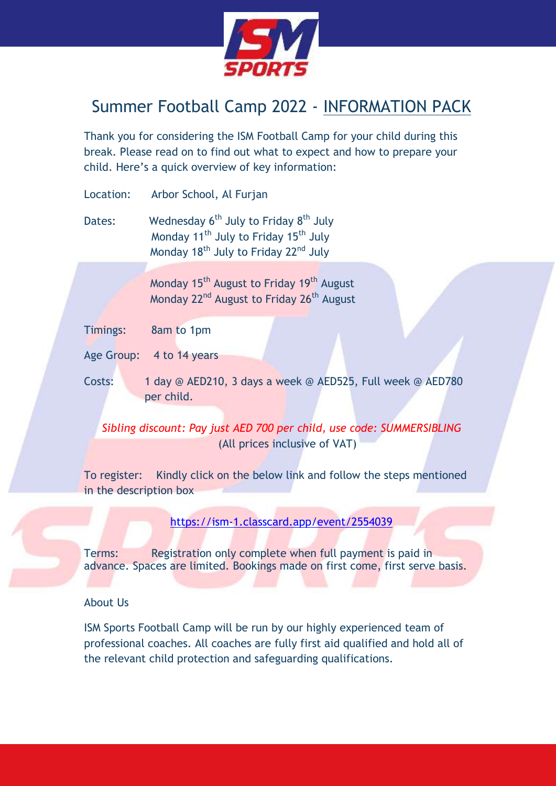

## Summer Football Camp 2022 - INFORMATION PACK

Thank you for considering the ISM Football Camp for your child during this break. Please read on to find out what to expect and how to prepare your child. Here's a quick overview of key information:

Location: Arbor School, Al Furjan

Dates: Wednesday 6<sup>th</sup> July to Friday 8<sup>th</sup> July Monday 11<sup>th</sup> July to Friday 15<sup>th</sup> July Monday 18<sup>th</sup> July to Friday 22<sup>nd</sup> July

> Monday 15<sup>th</sup> August to Friday 19<sup>th</sup> August Monday 22<sup>nd</sup> August to Friday 26<sup>th</sup> August

| Timings: | 8am to 1pm |
|----------|------------|
|          |            |

- Age Group: 4 to 14 years
- Costs: 1 day @ AED210, 3 days a week @ AED525, Full week @ AED780 per child.

*Sibling discount: Pay just AED 700 per child, use code: SUMMERSIBLING* (All prices inclusive of VAT)

To register: Kindly click on the below link and follow the steps mentioned in the description box

<https://ism-1.classcard.app/event/2554039>

Terms: Registration only complete when full payment is paid in advance. Spaces are limited. Bookings made on first come, first serve basis.

## About Us

ISM Sports Football Camp will be run by our highly experienced team of professional coaches. All coaches are fully first aid qualified and hold all of the relevant child protection and safeguarding qualifications.